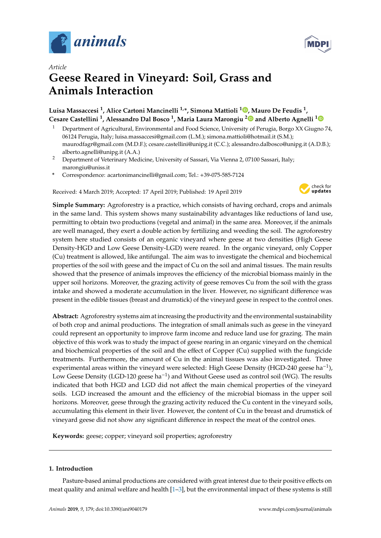

*Article*



# **Geese Reared in Vineyard: Soil, Grass and Animals Interaction**

### **Luisa Massaccesi <sup>1</sup> , Alice Cartoni Mancinelli 1,\*, Simona Mattioli <sup>1</sup> [,](https://orcid.org/0000-0001-5063-6785) Mauro De Feudis <sup>1</sup> , Cesare Castellini <sup>1</sup> , Alessandro Dal Bosco <sup>1</sup> , Maria Laura Marongiu [2](https://orcid.org/0000-0003-4791-0514) and Alberto Agnelli [1](https://orcid.org/0000-0002-2236-9103)**

- <sup>1</sup> Department of Agricultural, Environmental and Food Science, University of Perugia, Borgo XX Giugno 74, 06124 Perugia, Italy; luisa.massaccesi@gmail.com (L.M.); simona.mattioli@hotmail.it (S.M.); maurodfagr@gmail.com (M.D.F.); cesare.castellini@unipg.it (C.C.); alessandro.dalbosco@unipg.it (A.D.B.); alberto.agnelli@unipg.it (A.A.)
- <sup>2</sup> Department of Veterinary Medicine, University of Sassari, Via Vienna 2, 07100 Sassari, Italy; marongiu@uniss.it
- **\*** Correspondence: acartonimancinelli@gmail.com; Tel.: +39-075-585-7124

Received: 4 March 2019; Accepted: 17 April 2019; Published: 19 April 2019



**Simple Summary:** Agroforestry is a practice, which consists of having orchard, crops and animals in the same land. This system shows many sustainability advantages like reductions of land use, permitting to obtain two productions (vegetal and animal) in the same area. Moreover, if the animals are well managed, they exert a double action by fertilizing and weeding the soil. The agroforestry system here studied consists of an organic vineyard where geese at two densities (High Geese Density-HGD and Low Geese Density-LGD) were reared. In the organic vineyard, only Copper (Cu) treatment is allowed, like antifungal. The aim was to investigate the chemical and biochemical properties of the soil with geese and the impact of Cu on the soil and animal tissues. The main results showed that the presence of animals improves the efficiency of the microbial biomass mainly in the upper soil horizons. Moreover, the grazing activity of geese removes Cu from the soil with the grass intake and showed a moderate accumulation in the liver. However, no significant difference was present in the edible tissues (breast and drumstick) of the vineyard geese in respect to the control ones.

**Abstract:** Agroforestry systems aim at increasing the productivity and the environmental sustainability of both crop and animal productions. The integration of small animals such as geese in the vineyard could represent an opportunity to improve farm income and reduce land use for grazing. The main objective of this work was to study the impact of geese rearing in an organic vineyard on the chemical and biochemical properties of the soil and the effect of Copper (Cu) supplied with the fungicide treatments. Furthermore, the amount of Cu in the animal tissues was also investigated. Three experimental areas within the vineyard were selected: High Geese Density (HGD-240 geese ha<sup>-1</sup>), Low Geese Density (LGD-120 geese ha−<sup>1</sup> ) and Without Geese used as control soil (WG). The results indicated that both HGD and LGD did not affect the main chemical properties of the vineyard soils. LGD increased the amount and the efficiency of the microbial biomass in the upper soil horizons. Moreover, geese through the grazing activity reduced the Cu content in the vineyard soils, accumulating this element in their liver. However, the content of Cu in the breast and drumstick of vineyard geese did not show any significant difference in respect the meat of the control ones.

**Keywords:** geese; copper; vineyard soil properties; agroforestry

#### **1. Introduction**

Pasture-based animal productions are considered with great interest due to their positive effects on meat quality and animal welfare and health [\[1](#page-9-0)[–3\]](#page-9-1), but the environmental impact of these systems is still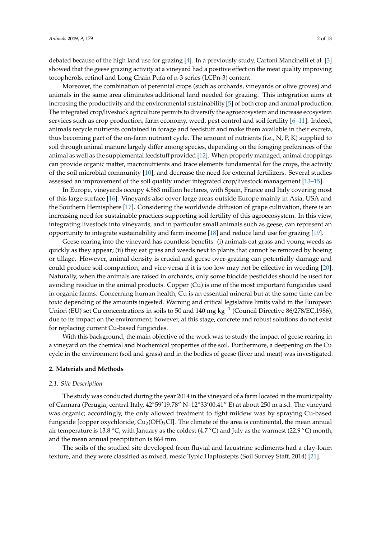debated because of the high land use for grazing [\[4\]](#page-9-2). In a previously study, Cartoni Mancinelli et al. [\[3\]](#page-9-1) showed that the geese grazing activity at a vineyard had a positive effect on the meat quality improving tocopherols, retinol and Long Chain Pufa of n-3 series (LCPn-3) content.

Moreover, the combination of perennial crops (such as orchards, vineyards or olive groves) and animals in the same area eliminates additional land needed for grazing. This integration aims at increasing the productivity and the environmental sustainability [\[5\]](#page-9-3) of both crop and animal production. The integrated crop/livestock agriculture permits to diversify the agroecosystem and increase ecosystem services such as crop production, farm economy, weed, pest control and soil fertility [\[6–](#page-9-4)[11\]](#page-9-5). Indeed, animals recycle nutrients contained in forage and feedstuff and make them available in their excreta, thus becoming part of the on-farm nutrient cycle. The amount of nutrients (i.e., N, P, K) supplied to soil through animal manure largely differ among species, depending on the foraging preferences of the animal as well as the supplemental feedstuff provided [\[12\]](#page-9-6). When properly managed, animal droppings can provide organic matter, macronutrients and trace elements fundamental for the crops, the activity of the soil microbial community [\[10\]](#page-9-7), and decrease the need for external fertilizers. Several studies assessed an improvement of the soil quality under integrated crop/livestock management [\[13](#page-9-8)[–15\]](#page-10-0).

In Europe, vineyards occupy 4.563 million hectares, with Spain, France and Italy covering most of this large surface [\[16\]](#page-10-1). Vineyards also cover large areas outside Europe mainly in Asia, USA and the Southern Hemisphere [\[17\]](#page-10-2). Considering the worldwide diffusion of grape cultivation, there is an increasing need for sustainable practices supporting soil fertility of this agroecosystem. In this view, integrating livestock into vineyards, and in particular small animals such as geese, can represent an opportunity to integrate sustainability and farm income [\[18\]](#page-10-3) and reduce land use for grazing [\[19\]](#page-10-4).

Geese rearing into the vineyard has countless benefits: (i) animals eat grass and young weeds as quickly as they appear; (ii) they eat grass and weeds next to plants that cannot be removed by hoeing or tillage. However, animal density is crucial and geese over-grazing can potentially damage and could produce soil compaction, and vice-versa if it is too low may not be effective in weeding [\[20\]](#page-10-5). Naturally, when the animals are raised in orchards, only some biocide pesticides should be used for avoiding residue in the animal products. Copper (Cu) is one of the most important fungicides used in organic farms. Concerning human health, Cu is an essential mineral but at the same time can be toxic depending of the amounts ingested. Warning and critical legislative limits valid in the European Union (EU) set Cu concentrations in soils to 50 and 140 mg kg−<sup>1</sup> (Council Directive 86/278/EC,1986), due to its impact on the environment; however, at this stage, concrete and robust solutions do not exist for replacing current Cu-based fungicides.

With this background, the main objective of the work was to study the impact of geese rearing in a vineyard on the chemical and biochemical properties of the soil. Furthermore, a deepening on the Cu cycle in the environment (soil and grass) and in the bodies of geese (liver and meat) was investigated.

#### **2. Materials and Methods**

#### *2.1. Site Description*

The study was conducted during the year 2014 in the vineyard of a farm located in the municipality of Cannara (Perugia, central Italy, 42°59'19.78" N–12°33'00.41" E) at about 250 m a.s.l. The vineyard was organic; accordingly, the only allowed treatment to fight mildew was by spraying Cu-based fungicide [copper oxychloride,  $Cu_2(OH)_3Cl$ ]. The climate of the area is continental, the mean annual air temperature is 13.8 °C, with January as the coldest (4.7 °C) and July as the warmest (22.9 °C) month, and the mean annual precipitation is 864 mm.

The soils of the studied site developed from fluvial and lacustrine sediments had a clay-loam texture, and they were classified as mixed, mesic Typic Haplustepts (Soil Survey Staff, 2014) [\[21\]](#page-10-6).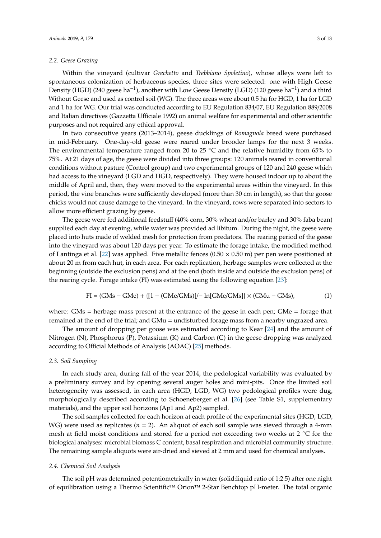#### *2.2. Geese Grazing*

Within the vineyard (cultivar *Grechetto* and *Trebbiano Spoletino*), whose alleys were left to spontaneous colonization of herbaceous species, three sites were selected: one with High Geese Density (HGD) (240 geese ha<sup>-1</sup>), another with Low Geese Density (LGD) (120 geese ha<sup>-1</sup>) and a third Without Geese and used as control soil (WG). The three areas were about 0.5 ha for HGD, 1 ha for LGD and 1 ha for WG. Our trial was conducted according to EU Regulation 834/07, EU Regulation 889/2008 and Italian directives (Gazzetta Ufficiale 1992) on animal welfare for experimental and other scientific purposes and not required any ethical approval.

In two consecutive years (2013–2014), geese ducklings of *Romagnola* breed were purchased in mid-February. One-day-old geese were reared under brooder lamps for the next 3 weeks. The environmental temperature ranged from 20 to 25  $°C$  and the relative humidity from 65% to 75%. At 21 days of age, the geese were divided into three groups: 120 animals reared in conventional conditions without pasture (Control group) and two experimental groups of 120 and 240 geese which had access to the vineyard (LGD and HGD, respectively). They were housed indoor up to about the middle of April and, then, they were moved to the experimental areas within the vineyard. In this period, the vine branches were sufficiently developed (more than 30 cm in length), so that the goose chicks would not cause damage to the vineyard. In the vineyard, rows were separated into sectors to allow more efficient grazing by geese.

The geese were fed additional feedstuff (40% corn, 30% wheat and/or barley and 30% faba bean) supplied each day at evening, while water was provided ad libitum. During the night, the geese were placed into huts made of welded mesh for protection from predators. The rearing period of the geese into the vineyard was about 120 days per year. To estimate the forage intake, the modified method of Lantinga et al. [\[22\]](#page-10-7) was applied. Five metallic fences  $(0.50 \times 0.50 \text{ m})$  per pen were positioned at about 20 m from each hut, in each area. For each replication, herbage samples were collected at the beginning (outside the exclusion pens) and at the end (both inside and outside the exclusion pens) of the rearing cycle. Forage intake (FI) was estimated using the following equation [\[23\]](#page-10-8):

$$
FI = (GMs - GMe) + \{[1 - (GMe/GMs)]/ - \ln[GMe/GMs]\} \times (GMu - GMs),
$$
\n(1)

where: GMs = herbage mass present at the entrance of the geese in each pen; GMe = forage that remained at the end of the trial; and GMu = undisturbed forage mass from a nearby ungrazed area.

The amount of dropping per goose was estimated according to Kear [\[24\]](#page-10-9) and the amount of Nitrogen (N), Phosphorus (P), Potassium (K) and Carbon (C) in the geese dropping was analyzed according to Official Methods of Analysis (AOAC) [\[25\]](#page-10-10) methods.

#### *2.3. Soil Sampling*

In each study area, during fall of the year 2014, the pedological variability was evaluated by a preliminary survey and by opening several auger holes and mini-pits. Once the limited soil heterogeneity was assessed, in each area (HGD, LGD, WG) two pedological profiles were dug, morphologically described according to Schoeneberger et al. [\[26\]](#page-10-11) (see Table S1, supplementary materials), and the upper soil horizons (Ap1 and Ap2) sampled.

The soil samples collected for each horizon at each profile of the experimental sites (HGD, LGD, WG) were used as replicates ( $n = 2$ ). An aliquot of each soil sample was sieved through a 4-mm mesh at field moist conditions and stored for a period not exceeding two weeks at 2 ◦C for the biological analyses: microbial biomass C content, basal respiration and microbial community structure. The remaining sample aliquots were air-dried and sieved at 2 mm and used for chemical analyses.

#### *2.4. Chemical Soil Analysis*

The soil pH was determined potentiometrically in water (solid:liquid ratio of 1:2.5) after one night of equilibration using a Thermo Scientific™ Orion™ 2-Star Benchtop pH-meter. The total organic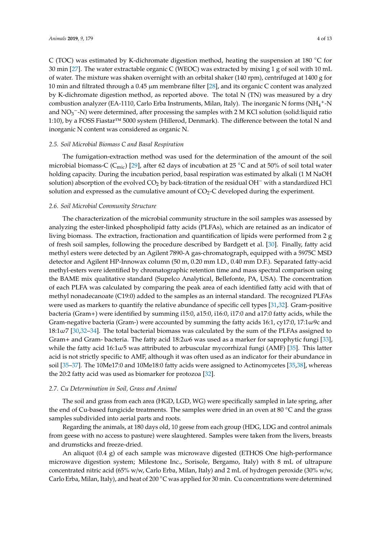C (TOC) was estimated by K-dichromate digestion method, heating the suspension at 180  $\degree$ C for 30 min [\[27\]](#page-10-12). The water extractable organic C (WEOC) was extracted by mixing 1 g of soil with 10 mL of water. The mixture was shaken overnight with an orbital shaker (140 rpm), centrifuged at 1400 g for 10 min and filtrated through a 0.45 µm membrane filter [\[28\]](#page-10-13), and its organic C content was analyzed by K-dichromate digestion method, as reported above. The total N (TN) was measured by a dry combustion analyzer (EA-1110, Carlo Erba Instruments, Milan, Italy). The inorganic N forms (NH<sub>4</sub><sup>+</sup>-N and NO<sub>3</sub><sup>-</sup>-N) were determined, after processing the samples with 2 M KCl solution (solid:liquid ratio 1:10), by a FOSS Fiastar™ 5000 system (Hillerod, Denmark). The difference between the total N and inorganic N content was considered as organic N.

#### *2.5. Soil Microbial Biomass C and Basal Respiration*

The fumigation-extraction method was used for the determination of the amount of the soil microbial biomass-C ( $C_{\text{mic}}$ ) [\[29\]](#page-10-14), after 62 days of incubation at 25 °C and at 50% of soil total water holding capacity. During the incubation period, basal respiration was estimated by alkali (1 M NaOH solution) absorption of the evolved CO<sub>2</sub> by back-titration of the residual OH<sup>−</sup> with a standardized HCl solution and expressed as the cumulative amount of  $CO<sub>2</sub>-C$  developed during the experiment.

#### *2.6. Soil Microbial Community Structure*

The characterization of the microbial community structure in the soil samples was assessed by analyzing the ester-linked phospholipid fatty acids (PLFAs), which are retained as an indicator of living biomass. The extraction, fractionation and quantification of lipids were performed from 2 g of fresh soil samples, following the procedure described by Bardgett et al. [\[30\]](#page-10-15). Finally, fatty acid methyl esters were detected by an Agilent 7890-A gas-chromatograph, equipped with a 5975C MSD detector and Agilent HP-Innowax column (50 m, 0.20 mm I.D., 0.40 mm D.F.). Separated fatty-acid methyl-esters were identified by chromatographic retention time and mass spectral comparison using the BAME mix qualitative standard (Supelco Analytical, Bellefonte, PA, USA). The concentration of each PLFA was calculated by comparing the peak area of each identified fatty acid with that of methyl nonadecanoate (C19:0) added to the samples as an internal standard. The recognized PLFAs were used as markers to quantify the relative abundance of specific cell types [\[31](#page-10-16)[,32\]](#page-10-17). Gram-positive bacteria (Gram+) were identified by summing i15:0, a15:0, i16:0, i17:0 and a17:0 fatty acids, while the Gram-negative bacteria (Gram-) were accounted by summing the fatty acids 16:1, cy17:0, 17:1ω9c and 18:1ω7 [\[30](#page-10-15)[,32](#page-10-17)[–34\]](#page-10-18). The total bacterial biomass was calculated by the sum of the PLFAs assigned to Gram+ and Gram- bacteria. The fatty acid 18:2ω6 was used as a marker for saprophytic fungi [\[33\]](#page-10-19), while the fatty acid 16:1ω5 was attributed to arbuscular mycorrhizal fungi (AMF) [\[35\]](#page-10-20). This latter acid is not strictly specific to AMF, although it was often used as an indicator for their abundance in soil [\[35–](#page-10-20)[37\]](#page-10-21). The 10Me17:0 and 10Me18:0 fatty acids were assigned to Actinomycetes [\[35,](#page-10-20)[38\]](#page-11-0), whereas the 20:2 fatty acid was used as biomarker for protozoa [\[32\]](#page-10-17).

#### *2.7. Cu Determination in Soil, Grass and Animal*

The soil and grass from each area (HGD, LGD, WG) were specifically sampled in late spring, after the end of Cu-based fungicide treatments. The samples were dried in an oven at 80 ◦C and the grass samples subdivided into aerial parts and roots.

Regarding the animals, at 180 days old, 10 geese from each group (HDG, LDG and control animals from geese with no access to pasture) were slaughtered. Samples were taken from the livers, breasts and drumsticks and freeze-dried.

An aliquot (0.4 g) of each sample was microwave digested (ETHOS One high-performance microwave digestion system; Milestone Inc., Sorisole, Bergamo, Italy) with 8 mL of ultrapure concentrated nitric acid (65% w/w, Carlo Erba, Milan, Italy) and 2 mL of hydrogen peroxide (30% w/w, Carlo Erba, Milan, Italy), and heat of 200 ◦C was applied for 30 min. Cu concentrations were determined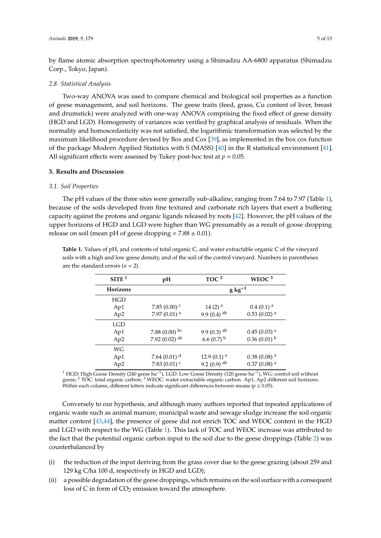by flame atomic absorption spectrophotometry using a Shimadzu AA-6800 apparatus (Shimadzu Corp., Tokyo, Japan).

#### *2.8. Statistical Analysis*

Two-way ANOVA was used to compare chemical and biological soil properties as a function of geese management, and soil horizons. The geese traits (feed, grass, Cu content of liver, breast and drumstick) were analyzed with one-way ANOVA comprising the fixed effect of geese density (HGD and LGD). Homogeneity of variances was verified by graphical analysis of residuals. When the normality and homoscedasticity was not satisfied, the logarithmic transformation was selected by the maximum likelihood procedure devised by Box and Cox [\[39\]](#page-11-1), as implemented in the box cox function of the package Modern Applied Statistics with S (MASS) [\[40\]](#page-11-2) in the R statistical environment [\[41\]](#page-11-3). All significant effects were assessed by Tukey post-hoc test at  $p = 0.05$ .

#### **3. Results and Discussion**

#### *3.1. Soil Properties*

The pH values of the three sites were generally sub-alkaline, ranging from 7.64 to 7.97 (Table [1\)](#page-4-0), because of the soils developed from fine textured and carbonate rich layers that exert a buffering capacity against the protons and organic ligands released by roots [\[42\]](#page-11-4). However, the pH values of the upper horizons of HGD and LGD were higher than WG presumably as a result of goose dropping release on soil (mean pH of geese dropping  $= 7.88 \pm 0.01$ ).

<span id="page-4-0"></span>**Table 1.** Values of pH, and contents of total organic C, and water extractable organic C of the vineyard soils with a high and low geese density, and of the soil of the control vineyard. Numbers in parentheses are the standard errors  $(n = 2)$ .

| SITE <sup>1</sup> | pH                         | TOC <sup>2</sup>          | WEOC $3$                  |
|-------------------|----------------------------|---------------------------|---------------------------|
| <b>Horizons</b>   |                            | $g kg^{-1}$               |                           |
| HGD               |                            |                           |                           |
| Ap1               | 7.85 $(0.00)$ <sup>c</sup> | $14(2)$ <sup>a</sup>      | $0.4(0.1)$ <sup>a</sup>   |
| Ap <sub>2</sub>   | $7.97(0.01)$ <sup>a</sup>  | 9.9 $(0.4)$ ab            | $0.53(0.02)$ <sup>a</sup> |
| LGD               |                            |                           |                           |
| Ap1               | 7.88 $(0.00)$ bc           | 9.9 $(0.3)$ ab            | $0.45(0.03)$ <sup>a</sup> |
| Ap <sub>2</sub>   | 7.92 $(0.02)$ ab           | 6.6 $(0.7)$ <sup>b</sup>  | $0.36(0.01)$ <sup>b</sup> |
| WG                |                            |                           |                           |
| Ap1               | 7.64 $(0.01)$ <sup>d</sup> | 12.9 $(0.1)$ <sup>a</sup> | $0.38(0.08)^{a}$          |
| Ap2               | 7.83 $(0.01)$ <sup>c</sup> | 9.2 $(0.9)$ ab            | $0.37(0.08)$ <sup>a</sup> |

<sup>1</sup> HGD: High Goose Density (240 geese ha<sup>-1</sup>), LGD: Low Goose Density (120 geese ha<sup>-1</sup>), WG: control soil without geese; <sup>2</sup> TOC: total organic carbon; <sup>3</sup> WEOC: water extractable organic carbon. Ap1, Ap2 different soil horizons. Within each column, different letters indicate significant differences between means ( $p \leq 0.05$ ).

Conversely to our hypothesis, and although many authors reported that repeated applications of organic waste such as animal manure, municipal waste and sewage sludge increase the soil organic matter content [\[43](#page-11-5)[,44\]](#page-11-6), the presence of geese did not enrich TOC and WEOC content in the HGD and LGD with respect to the WG (Table [1\)](#page-4-0). This lack of TOC and WEOC increase was attributed to the fact that the potential organic carbon input to the soil due to the geese droppings (Table [2\)](#page-5-0) was counterbalanced by

- (i) the reduction of the input deriving from the grass cover due to the geese grazing (about 259 and 129 kg C/ha 100 d, respectively in HGD and LGD);
- (ii) a possible degradation of the geese droppings, which remains on the soil surface with a consequent loss of C in form of  $CO<sub>2</sub>$  emission toward the atmosphere.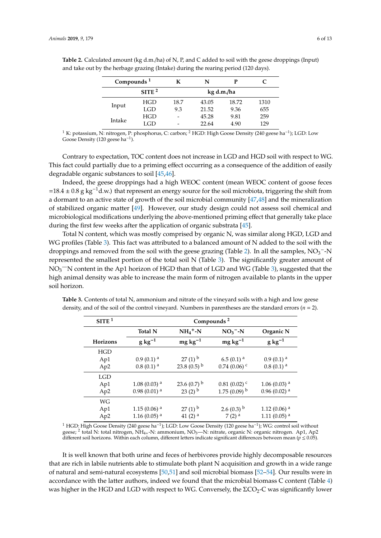|        | Compounds <sup>1</sup> |            | N     | р     | C    |
|--------|------------------------|------------|-------|-------|------|
|        | STTE <sup>2</sup>      | kg d.m./ha |       |       |      |
| Input  | HGD                    | 18.7       | 43.05 | 18.72 | 1310 |
|        | LGD                    | 9.3        | 21.52 | 9.36  | 655  |
| Intake | HGD                    | -          | 45.28 | 9.81  | 259  |
|        | GD                     | -          | 22.64 | 4.90  | 129  |

<span id="page-5-0"></span>**Table 2.** Calculated amount (kg d.m./ha) of N, P, and C added to soil with the geese droppings (Input) and take out by the herbage grazing (Intake) during the rearing period (120 days).

<sup>1</sup> K: potassium, N: nitrogen, P: phosphorus, C: carbon; <sup>2</sup> HGD: High Goose Density (240 geese ha<sup>-1</sup>); LGD: Low Goose Density (120 geese ha<sup>-1</sup>).

Contrary to expectation, TOC content does not increase in LGD and HGD soil with respect to WG. This fact could partially due to a priming effect occurring as a consequence of the addition of easily degradable organic substances to soil [\[45,](#page-11-7)[46\]](#page-11-8).

Indeed, the geese droppings had a high WEOC content (mean WEOC content of goose feces =18.4 ± 0.8 g kg<sup>-1</sup>d.w.) that represent an energy source for the soil microbiota, triggering the shift from a dormant to an active state of growth of the soil microbial community [\[47,](#page-11-9)[48\]](#page-11-10) and the mineralization of stabilized organic matter [\[49\]](#page-11-11). However, our study design could not assess soil chemical and microbiological modifications underlying the above-mentioned priming effect that generally take place during the first few weeks after the application of organic substrata [\[45\]](#page-11-7).

Total N content, which was mostly comprised by organic N, was similar along HGD, LGD and WG profiles (Table [3\)](#page-5-1). This fact was attributed to a balanced amount of N added to the soil with the droppings and removed from the soil with the geese grazing (Table [2\)](#page-5-0). In all the samples,  $NO_3^-$ -N represented the smallest portion of the total soil N (Table [3\)](#page-5-1). The significantly greater amount of  $NO<sub>3</sub>$  TN content in the Ap1 horizon of HGD than that of LGD and WG (Table [3\)](#page-5-1), suggested that the high animal density was able to increase the main form of nitrogen available to plants in the upper soil horizon.

| SITE <sup>1</sup> | Compounds <sup>2</sup>        |                           |                           |                           |  |
|-------------------|-------------------------------|---------------------------|---------------------------|---------------------------|--|
|                   | $NH_4^+$ -N<br><b>Total N</b> |                           | $NO3$ -N                  | Organic N                 |  |
| Horizons          | $g kg^{-1}$                   | $mg \, kg^{-1}$           | $mg \, kg^{-1}$           | $g kg^{-1}$               |  |
| HGD               |                               |                           |                           |                           |  |
| Ap1               | $0.9(0.1)$ <sup>a</sup>       | $27(1)$ <sup>b</sup>      | $6.5(0.1)$ <sup>a</sup>   | $0.9(0.1)$ <sup>a</sup>   |  |
| Ap <sub>2</sub>   | $0.8(0.1)$ <sup>a</sup>       | 23.8 $(0.5)^{b}$          | $0.74(0.06)$ <sup>c</sup> | $0.8(0.1)$ <sup>a</sup>   |  |
| <b>LGD</b>        |                               |                           |                           |                           |  |
| Ap1               | $1.08(0.03)$ <sup>a</sup>     | 23.6 $(0.7)$ <sup>b</sup> | $0.81(0.02)$ <sup>c</sup> | $1.06(0.03)$ <sup>a</sup> |  |
| Ap2               | $0.98(0.01)$ <sup>a</sup>     | $23(2)$ <sup>b</sup>      | $1.75(0.09)^{b}$          | $0.96(0.02)$ <sup>a</sup> |  |
| WG                |                               |                           |                           |                           |  |
| Ap1               | $1.15(0.06)$ <sup>a</sup>     | $27(1)$ <sup>b</sup>      | $2.6(0.3)$ <sup>b</sup>   | $1.12(0.06)$ <sup>a</sup> |  |
| Ap <sub>2</sub>   | $1.16(0.05)$ <sup>a</sup>     | 41 $(2)$ <sup>a</sup>     | $7(2)$ <sup>a</sup>       | $1.11(0.05)$ <sup>a</sup> |  |

<span id="page-5-1"></span>**Table 3.** Contents of total N, ammonium and nitrate of the vineyard soils with a high and low geese density, and of the soil of the control vineyard. Numbers in parentheses are the standard errors (*n* = 2).

<sup>1</sup> HGD: High Goose Density (240 geese ha<sup>-1</sup>); LGD: Low Goose Density (120 geese ha<sup>-1</sup>); WG: control soil without geese; <sup>2</sup> total N: total nitrogen, NH<sub>4+</sub>-N: ammonium, NO<sub>3</sub>—N: nitrate, organic N: organic nitrogen. Ap1, Ap2 different soil horizons. Within each column, different letters indicate significant differences between mean (*p* ≤ 0.05).

It is well known that both urine and feces of herbivores provide highly decomposable resources that are rich in labile nutrients able to stimulate both plant N acquisition and growth in a wide range of natural and semi-natural ecosystems [\[50,](#page-11-12)[51\]](#page-11-13) and soil microbial biomass [\[52](#page-11-14)[–54\]](#page-11-15). Our results were in accordance with the latter authors, indeed we found that the microbial biomass C content (Table [4\)](#page-6-0) was higher in the HGD and LGD with respect to WG. Conversely, the  $\Sigma CO<sub>2</sub>$ -C was significantly lower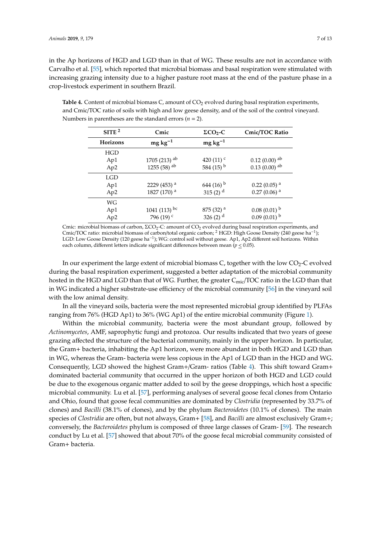in the Ap horizons of HGD and LGD than in that of WG. These results are not in accordance with Carvalho et al. [\[55\]](#page-11-16), which reported that microbial biomass and basal respiration were stimulated with increasing grazing intensity due to a higher pasture root mass at the end of the pasture phase in a crop-livestock experiment in southern Brazil.

<span id="page-6-0"></span>Table 4. Content of microbial biomass C, amount of CO<sub>2</sub> evolved during basal respiration experiments, and Cmic/TOC ratio of soils with high and low geese density, and of the soil of the control vineyard. Numbers in parentheses are the standard errors (*n* = 2).

|                 |                           | $\Sigma CO2$ -C         |                             |  |
|-----------------|---------------------------|-------------------------|-----------------------------|--|
|                 | SITE <sup>2</sup><br>Cmic |                         | Cmic/TOC Ratio              |  |
| <b>Horizons</b> | $mg \, kg^{-1}$           | $mg \, kg^{-1}$         |                             |  |
| HGD             |                           |                         |                             |  |
| Ap1             | $1705(213)$ <sup>ab</sup> | 420 $(11)$ <sup>c</sup> | $0.12$ (0.00) <sup>ab</sup> |  |
| Ap2             | 1255 (58) <sup>ab</sup>   | 584 $(15)^{b}$          | $0.13(0.00)$ <sup>ab</sup>  |  |
| <b>LGD</b>      |                           |                         |                             |  |
| Ap1             | 2229 (453) <sup>a</sup>   | 644 $(16)^{b}$          | $0.22(0.05)$ <sup>a</sup>   |  |
| Ap <sub>2</sub> | 1827 (170) <sup>a</sup>   | 315 $(2)$ <sup>d</sup>  | $0.27(0.06)$ <sup>a</sup>   |  |
| WG              |                           |                         |                             |  |
| Ap1             | 1041 (113) bc             | $875(32)$ <sup>a</sup>  | $0.08(0.01)$ <sup>b</sup>   |  |
| Ap <sub>2</sub> | 796 (19) <sup>c</sup>     | 326 $(2)$ <sup>d</sup>  | $0.09(0.01)$ <sup>b</sup>   |  |
|                 |                           |                         |                             |  |

Cmic: microbial biomass of carbon, ΣCO<sub>2</sub>-C: amount of CO<sub>2</sub> evolved during basal respiration experiments, and Cmic/TOC ratio: microbial biomass of carbon/total organic carbon; <sup>2</sup> HGD: High Goose Density (240 geese ha−<sup>1</sup> ); LGD: Low Goose Density (120 geese ha−<sup>1</sup> ); WG: control soil without geese. Ap1, Ap2 different soil horizons. Within each column, different letters indicate significant differences between mean ( $p \leq 0.05$ ).

In our experiment the large extent of microbial biomass C, together with the low  $CO<sub>2</sub>-C$  evolved during the basal respiration experiment, suggested a better adaptation of the microbial community hosted in the HGD and LGD than that of WG. Further, the greater  $C_{\text{mic}}/TOC$  ratio in the LGD than that in WG indicated a higher substrate-use efficiency of the microbial community [\[56\]](#page-11-17) in the vineyard soil with the low animal density.

In all the vineyard soils, bacteria were the most represented microbial group identified by PLFAs ranging from 76% (HGD Ap1) to 36% (WG Ap1) of the entire microbial community (Figure [1\)](#page-7-0).

Within the microbial community, bacteria were the most abundant group, followed by *Actinomycetes*, AMF, saprophytic fungi and protozoa. Our results indicated that two years of geese grazing affected the structure of the bacterial community, mainly in the upper horizon. In particular, the Gram+ bacteria, inhabiting the Ap1 horizon, were more abundant in both HGD and LGD than in WG, whereas the Gram- bacteria were less copious in the Ap1 of LGD than in the HGD and WG. Consequently, LGD showed the highest Gram+/Gram- ratios (Table [4\)](#page-6-0). This shift toward Gram+ dominated bacterial community that occurred in the upper horizon of both HGD and LGD could be due to the exogenous organic matter added to soil by the geese droppings, which host a specific microbial community. Lu et al. [\[57\]](#page-11-18), performing analyses of several goose fecal clones from Ontario and Ohio, found that goose fecal communities are dominated by *Clostridia* (represented by 33.7% of clones) and *Bacilli* (38.1% of clones), and by the phylum *Bacteroidetes* (10.1% of clones). The main species of *Clostridia* are often, but not always, Gram+ [\[58\]](#page-11-19), and *Bacilli* are almost exclusively Gram+; conversely, the *Bacteroidetes* phylum is composed of three large classes of Gram- [\[59\]](#page-11-20). The research conduct by Lu et al. [\[57\]](#page-11-18) showed that about 70% of the goose fecal microbial community consisted of Gram+ bacteria.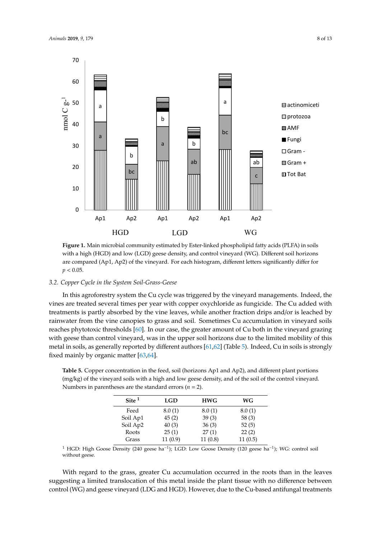<span id="page-7-0"></span>

**Figure 1.** Main microbial community estimated by Ester‐linked phospholipid fatty acids (PLFA) in **Figure 1.** Main microbial community estimated by Ester-linked phospholipid fatty acids (PLFA) in soils with a high (HGD) and low (LGD) geese density, and control vineyard (WG). Different soil horizons are compared (Ap1, Ap2) of the vineyard. For each histogram, different letters significantly differ for  $p < 0.05$ .

## 3.2. Copper Cycle in the System Soil-Grass-Geese

In this agroforestry system the Cu cycle was triggered by the vineyard managements. Indeed, the vines are treated several times per year with copper oxychloride as fungicide. The Cu added with treatments is partly absorbed by the vine leaves, while another fraction drips and/or is leached by rainwater from the vine canopies to grass and soil. Sometimes Cu accumulation in vineyard soils reaches phytotoxic thresholds [\[60\]](#page-11-21). In our case, the greater amount of Cu both in the vineyard grazing with geese than control vineyard, was in the upper soil horizons due to the limited mobility of this metal in soils, as generally reported by different authors [\[61,](#page-11-22)[62\]](#page-12-0) (Table [5\)](#page-7-1). Indeed, Cu in soils is strongly fixed mainly by organic matter [\[63,](#page-12-1)64].

<span id="page-7-1"></span>**Table 5.** Copper concentration in the feed, soil (horizons Ap1 and Ap2), and different plant portions (mg/kg) of the vineyard soils with a high and low geese density, and of the soil of the control vineyard. Numbers in parentheses are the standard errors ( $n = 2$ ).

| Site $1$ | <b>LGD</b> | <b>HWG</b> | WG      |
|----------|------------|------------|---------|
| Feed     | 8.0(1)     | 8.0(1)     | 8.0(1)  |
| Soil Ap1 | 45(2)      | 39(3)      | 58 (3)  |
| Soil Ap2 | 40(3)      | 36(3)      | 52(5)   |
| Roots    | 25(1)      | 27(1)      | 22(2)   |
| Grass    | 11(0.9)    | 11(0.8)    | 11(0.5) |

the vines are treated several times per year with copy  $\frac{1}{\sqrt{2}}$  and  $\frac{1}{\sqrt{2}}$  and  $\frac{1}{\sqrt{2}}$  and  $\frac{1}{\sqrt{2}}$  and  $\frac{1}{\sqrt{2}}$  and  $\frac{1}{\sqrt{2}}$  and  $\frac{1}{\sqrt{2}}$  and  $\frac{1}{\sqrt{2}}$  and  $\frac{1}{\sqrt{2}}$  and  $\frac{1}{\sqrt{2}}$  <sup>1</sup> HGD: High Goose Density (240 geese ha<sup>-1</sup>); LGD: Low Goose Density (120 geese ha<sup>-1</sup>); WG: control soil without geese. without geese.

With regard to the grass, greater Cu accumulation occurred in the roots than in the leaves suggesting a limited translocation of this metal inside the plant tissue with no difference between control (WG) and geese vineyard (LDG and HGD). However, due to the Cu-based antifungal treatments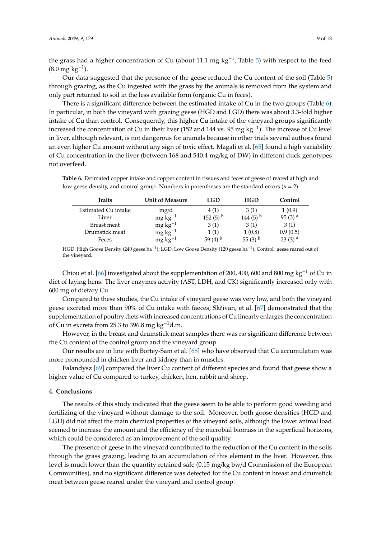the grass had a higher concentration of Cu (about 11.1 mg  $kg^{-1}$ , Table [5\)](#page-7-1) with respect to the feed  $(8.0 \text{ mg kg}^{-1}).$ 

Our data suggested that the presence of the geese reduced the Cu content of the soil (Table [5\)](#page-7-1) through grazing, as the Cu ingested with the grass by the animals is removed from the system and only part returned to soil in the less available form (organic Cu in feces).

There is a significant difference between the estimated intake of Cu in the two groups (Table [6\)](#page-8-0). In particular, in both the vineyard with grazing geese (HGD and LGD) there was about 3.3-fold higher intake of Cu than control. Consequently, this higher Cu intake of the vineyard groups significantly increased the concentration of Cu in their liver (152 and 144 vs. 95 mg kg−<sup>1</sup> ). The increase of Cu level in liver, although relevant, is not dangerous for animals because in other trials several authors found an even higher Cu amount without any sign of toxic effect. Magali et al. [\[65\]](#page-12-3) found a high variability of Cu concentration in the liver (between 168 and 540.4 mg/kg of DW) in different duck genotypes not overfeed.

<span id="page-8-0"></span>**Table 6.** Estimated copper intake and copper content in tissues and feces of geese of reared at high and low geese density, and control group. Numbers in parentheses are the standard errors ( $n = 2$ ).

| <b>Traits</b>       | <b>Unit of Measure</b> | LGD                   | <b>HGD</b>             | Control              |
|---------------------|------------------------|-----------------------|------------------------|----------------------|
| Estimated Cu intake | mg/d                   | 4(1)                  | 3(1)                   | 1(0.9)               |
| Liver               | $mg\,kg^{-1}$          | $152(5)$ <sup>b</sup> | 144 $(5)$ <sup>b</sup> | $95(3)$ <sup>a</sup> |
| Breast meat         | $mg \ kg^{-1}$         | 3(1)                  | 3(1)                   | 3(1)                 |
| Drumstick meat      | $mg\,kg^{-1}$          | 1 (1)                 | 1(0.8)                 | 0.9(0.5)             |
| Feces               | $mg \, kg^{-1}$        | 59 $(4)$ <sup>b</sup> | 55 $(3)$ <sup>b</sup>  | $23(3)$ <sup>a</sup> |

HGD: High Goose Density (240 geese ha<sup>-1</sup>); LGD: Low Goose Density (120 geese ha<sup>-1</sup>); Control: geese reared out of the vineyard.

Chiou et al. [\[66\]](#page-12-4) investigated about the supplementation of 200, 400, 600 and 800 mg kg<sup>-1</sup> of Cu in diet of laying hens. The liver enzymes activity (AST, LDH, and CK) significantly increased only with 600 mg of dietary Cu.

Compared to these studies, the Cu intake of vineyard geese was very low, and both the vineyard geese excreted more than 90% of Cu intake with faeces; Skřivan, et al. [\[67\]](#page-12-5) demonstrated that the supplementation of poultry diets with increased concentrations of Cu linearly enlarges the concentration of Cu in excreta from 25.3 to 396.8 mg kg<sup>-1</sup>d.m.

However, in the breast and drumstick meat samples there was no significant difference between the Cu content of the control group and the vineyard group.

Our results are in line with Bortey-Sam et al. [\[68\]](#page-12-6) who have observed that Cu accumulation was more pronounced in chicken liver and kidney than in muscles.

Falandysz [\[69\]](#page-12-7) compared the liver Cu content of different species and found that geese show a higher value of Cu compared to turkey, chicken, hen, rabbit and sheep.

#### **4. Conclusions**

The results of this study indicated that the geese seem to be able to perform good weeding and fertilizing of the vineyard without damage to the soil. Moreover, both goose densities (HGD and LGD) did not affect the main chemical properties of the vineyard soils, although the lower animal load seemed to increase the amount and the efficiency of the microbial biomass in the superficial horizons, which could be considered as an improvement of the soil quality.

The presence of geese in the vineyard contributed to the reduction of the Cu content in the soils through the grass grazing, leading to an accumulation of this element in the liver. However, this level is much lower than the quantity retained safe (0.15 mg/kg bw/d Commission of the European Communities), and no significant difference was detected for the Cu content in breast and drumstick meat between geese reared under the vineyard and control group.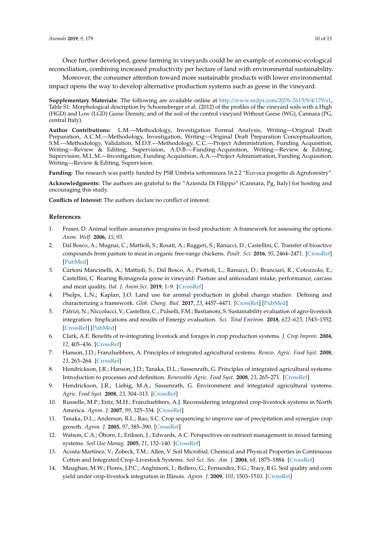Once further developed, geese farming in vineyards could be an example of economic-ecological reconciliation, combining increased productivity per hectare of land with environmental sustainability.

Moreover, the consumer attention toward more sustainable products with lower environmental impact opens the way to develop alternative production systems such as geese in the vineyard.

**Supplementary Materials:** The following are available online at http://[www.mdpi.com](http://www.mdpi.com/2076-2615/9/4/179/s1)/2076-2615/9/4/179/s1, Table S1: Morphological description by Schoeneberger et al. (2012) of the profiles of the vineyard soils with a High (HGD) and Low (LGD) Geese Density, and of the soil of the control vineyard Without Geese (WG), Cannara (PG, central Italy).

**Author Contributions:** L.M.—Methodology, Investigation Formal Analysis, Writing—Original Draft Preparation, A.C.M.—Methodology, Investigation, Writing—Original Draft Preparation Conceptualization, S.M.—Methodology, Validation, M.D.F.—Methodology, C.C.—Project Administration, Funding Acquisition, Writing—Review & Editing, Supervision, A.D.B.—Funding-Acquisition, Writing—Review & Editing, Supervision, M.L.M.—Investigation, Funding Acquisition, A.A.—Project Administration, Funding Acquisition, Writing—Review & Editing, Supervision.

**Funding:** The research was partly funded by PSR Umbria sottomisura 16.2.2 "Eco-oca progetto di Agroforestry".

**Acknowledgments:** The authors are grateful to the "Azienda Di Filippo" (Cannara, Pg, Italy) for hosting and encouraging this study.

**Conflicts of Interest:** The authors declare no conflict of interest.

#### **References**

- <span id="page-9-0"></span>1. Fraser, D. Animal welfare assurance programs in food production: A framework for assessing the options. *Anim. Welf.* **2006**, *15*, 93.
- 2. Dal Bosco, A.; Mugnai, C.; Mattioli, S.; Rosati, A.; Ruggeri, S.; Ranucci, D.; Castellini, C. Transfer of bioactive compounds from pasture to meat in organic free-range chickens. *Poult. Sci.* **2016**, *95*, 2464–2471. [\[CrossRef\]](http://dx.doi.org/10.3382/ps/pev383) [\[PubMed\]](http://www.ncbi.nlm.nih.gov/pubmed/26769274)
- <span id="page-9-1"></span>3. Cartoni Mancinelli, A.; Mattioli, S.; Dal Bosco, A.; Piottoli, L.; Ranucci, D.; Branciari, R.; Cotozzolo, E.; Castellini, C. Rearing Romagnola geese in vineyard: Pasture and antioxidant intake, performance, carcass and meat quality. *Ital. J. Anim.Sci.* **2019**, 1–9. [\[CrossRef\]](http://dx.doi.org/10.1080/1828051X.2018.1530960)
- <span id="page-9-2"></span>4. Phelps, L.N.; Kaplan, J.O. Land use for animal production in global change studies: Defining and characterizing a framework. *Glob. Chang. Biol.* **2017**, *23*, 4457–4471. [\[CrossRef\]](http://dx.doi.org/10.1111/gcb.13732) [\[PubMed\]](http://www.ncbi.nlm.nih.gov/pubmed/28434200)
- <span id="page-9-3"></span>5. Patrizi, N.; Niccolucci, V.; Castellini, C.; Pulselli, F.M.; Bastianoni, S. Sustainability evaluation of agro-livestock integration: Implications and results of Emergy evaluation. *Sci. Total Environ.* **2018**, *622–623*, 1543–1552. [\[CrossRef\]](http://dx.doi.org/10.1016/j.scitotenv.2017.10.029) [\[PubMed\]](http://www.ncbi.nlm.nih.gov/pubmed/29126636)
- <span id="page-9-4"></span>6. Clark, A.E. Benefits of re-integrating livestock and forages in crop production systems. *J. Crop Improv.* **2004**, *12*, 405–436. [\[CrossRef\]](http://dx.doi.org/10.1300/J411v12n01_06)
- 7. Hanson, J.D.; Franzluebbers, A. Principles of integrated agricultural systems. *Renew. Agric. Food Syst.* **2008**, *23*, 263–264. [\[CrossRef\]](http://dx.doi.org/10.1017/S174217050800241X)
- 8. Hendrickson, J.R.; Hanson, J.D.; Tanaka, D.L.; Sassenrath, G. Principles of integrated agricultural systems: Introduction to processes and definition. *Renewable Agric. Food Syst.* **2008**, *23*, 265–271. [\[CrossRef\]](http://dx.doi.org/10.1017/S1742170507001718)
- 9. Hendrickson, J.R.; Liebig, M.A.; Sassenrath, G. Environment and integrated agricultural systems. *Agric. Food Syst.* **2008**, *23*, 304–313. [\[CrossRef\]](http://dx.doi.org/10.1017/S1742170508002329)
- <span id="page-9-7"></span>10. Russelle, M.P.; Entz, M.H.; Franzluebbers, A.J. Reconsidering integrated crop-livestock systems in North America. *Agron. J.* **2007**, *99*, 325–334. [\[CrossRef\]](http://dx.doi.org/10.2134/agronj2006.0139)
- <span id="page-9-5"></span>11. Tanaka, D.L.; Anderson, R.L.; Rao, S.C. Crop sequencing to improve use of precipitation and synergize crop growth. *Agron. J.* **2005**, *97*, 385–390. [\[CrossRef\]](http://dx.doi.org/10.2134/agronj2005.0385)
- <span id="page-9-6"></span>12. Watson, C.A.; Öborn, I.; Eriksen, J.; Edwards, A.C. Perspectives on nutrient management in mixed farming systems. *Soil Use Manag.* **2005**, *21*, 132–140. [\[CrossRef\]](http://dx.doi.org/10.1111/j.1475-2743.2005.tb00417.x)
- <span id="page-9-8"></span>13. Acosta-Martínez, V.; Zobeck, T.M.; Allen, V. Soil Microbial, Chemical and Physical Properties in Continuous Cotton and Integrated Crop–Livestock Systems. *Soil Sci. Soc. Am. J.* **2004**, *68*, 1875–1884. [\[CrossRef\]](http://dx.doi.org/10.2136/sssaj2004.1875)
- 14. Maughan, M.W.; Flores, J.P.C.; Anghinoni, I.; Bollero, G.; Fernandez, F.G.; Tracy, B.G. Soil quality and corn yield under crop-livestock integration in Illinois. *Agron. J.* **2009**, *101*, 1503–1510. [\[CrossRef\]](http://dx.doi.org/10.2134/agronj2009.0068)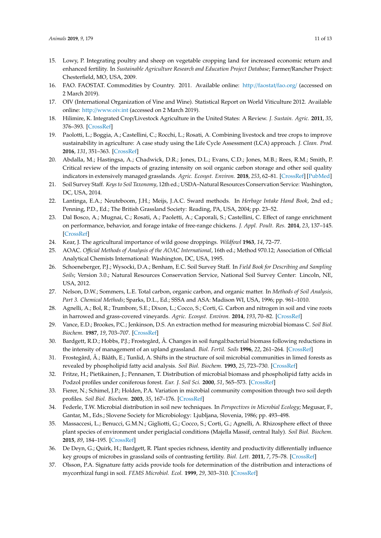- <span id="page-10-0"></span>15. Lowy, P. Integrating poultry and sheep on vegetable cropping land for increased economic return and enhanced fertility. In *Sustainable Agriculture Research and Education Project Database*; Farmer/Rancher Project: Chesterfield, MO, USA, 2009.
- <span id="page-10-1"></span>16. FAO. FAOSTAT. Commodities by Country. 2011. Available online: http://faostat/[fao.org](http://faostat/fao.org/)/ (accessed on 2 March 2019).
- <span id="page-10-2"></span>17. OIV (International Organization of Vine and Wine). Statistical Report on World Viticulture 2012. Available online: http://[www.oiv.int](http://www.oiv.int) (accessed on 2 March 2019).
- <span id="page-10-3"></span>18. Hilimire, K. Integrated Crop/Livestock Agriculture in the United States: A Review. *J. Sustain. Agric.* **2011**, *35*, 376–393. [\[CrossRef\]](http://dx.doi.org/10.1080/10440046.2011.562042)
- <span id="page-10-4"></span>19. Paolotti, L.; Boggia, A.; Castellini, C.; Rocchi, L.; Rosati, A. Combining livestock and tree crops to improve sustainability in agriculture: A case study using the Life Cycle Assessment (LCA) approach. *J. Clean. Prod.* **2016**, *131*, 351–363. [\[CrossRef\]](http://dx.doi.org/10.1016/j.jclepro.2016.05.024)
- <span id="page-10-5"></span>20. Abdalla, M.; Hastingsa, A.; Chadwick, D.R.; Jones, D.L.; Evans, C.D.; Jones, M.B.; Rees, R.M.; Smith, P. Critical review of the impacts of grazing intensity on soil organic carbon storage and other soil quality indicators in extensively managed grasslands. *Agric. Ecosyst. Environ.* **2018**, *253*, 62–81. [\[CrossRef\]](http://dx.doi.org/10.1016/j.agee.2017.10.023) [\[PubMed\]](http://www.ncbi.nlm.nih.gov/pubmed/29398743)
- <span id="page-10-6"></span>21. Soil Survey Staff. *Keys to Soil Taxonomy*, 12th ed.; USDA–Natural Resources Conservation Service: Washington, DC, USA, 2014.
- <span id="page-10-7"></span>22. Lantinga, E.A.; Neuteboom, J.H.; Meijs, J.A.C. Sward methods. In *Herbage Intake Hand Book*, 2nd ed.; Penning, P.D., Ed.; The British Grassland Society: Reading, PA, USA, 2004; pp. 23–52.
- <span id="page-10-8"></span>23. Dal Bosco, A.; Mugnai, C.; Rosati, A.; Paoletti, A.; Caporali, S.; Castellini, C. Effect of range enrichment on performance, behavior, and forage intake of free-range chickens. *J. Appl. Poult. Res.* **2014**, *23*, 137–145. [\[CrossRef\]](http://dx.doi.org/10.3382/japr.2013-00814)
- <span id="page-10-9"></span>24. Kear, J. The agricultural importance of wild goose droppings. *Wildfowl* **1963**, *14*, 72–77.
- <span id="page-10-10"></span>25. AOAC. *O*ffi*cial Methods of Analysis of the AOAC International*, 16th ed.; Method 970.12; Association of Official Analytical Chemists International: Washington, DC, USA, 1995.
- <span id="page-10-11"></span>26. Schoeneberger, P.J.; Wysocki, D.A.; Benham, E.C. Soil Survey Staff. In *Field Book for Describing and Sampling Soils*; Version 3.0.; Natural Resources Conservation Service, National Soil Survey Center: Lincoln, NE, USA, 2012.
- <span id="page-10-12"></span>27. Nelson, D.W.; Sommers, L.E. Total carbon, organic carbon, and organic matter. In *Methods of Soil Analysis, Part 3. Chemical Methods*; Sparks, D.L., Ed.; SSSA and ASA: Madison WI, USA, 1996; pp. 961–1010.
- <span id="page-10-13"></span>28. Agnelli, A.; Bol, R.; Trumbore, S.E.; Dixon, L.; Cocco, S.; Corti, G. Carbon and nitrogen in soil and vine roots in harrowed and grass-covered vineyards. *Agric. Ecosyst. Environ.* **2014**, *193*, 70–82. [\[CrossRef\]](http://dx.doi.org/10.1016/j.agee.2014.04.023)
- <span id="page-10-14"></span>29. Vance, E.D.; Brookes, P.C.; Jenkinson, D.S. An extraction method for measuring microbial biomass C. *Soil Biol. Biochem.* **1987**, *19*, 703–707. [\[CrossRef\]](http://dx.doi.org/10.1016/0038-0717(87)90052-6)
- <span id="page-10-15"></span>30. Bardgett, R.D.; Hobbs, P.J.; Frostegård, Å. Changes in soil fungal:bacterial biomass following reductions in the intensity of management of an upland grassland. *Biol. Fertil. Soils* **1996**, *22*, 261–264. [\[CrossRef\]](http://dx.doi.org/10.1007/BF00382522)
- <span id="page-10-16"></span>31. Frostegård, Å.; Bååth, E.; Tunlid, A. Shifts in the structure of soil microbial communities in limed forests as revealed by phospholipid fatty acid analysis. *Soil Biol. Biochem.* **1993**, *25*, 723–730. [\[CrossRef\]](http://dx.doi.org/10.1016/0038-0717(93)90113-P)
- <span id="page-10-17"></span>32. Fritze, H.; Pietikainen, J.; Pennanen, T. Distribution of microbial biomass and phospholipid fatty acids in Podzol profiles under coniferous forest. *Eur. J. Soil Sci.* **2000**, *51*, 565–573. [\[CrossRef\]](http://dx.doi.org/10.1111/j.1365-2389.2000.00346.x)
- <span id="page-10-19"></span>33. Fierer, N.; Schimel, J.P.; Holden, P.A. Variation in microbial community composition through two soil depth profiles. *Soil Biol. Biochem.* **2003**, *35*, 167–176. [\[CrossRef\]](http://dx.doi.org/10.1016/S0038-0717(02)00251-1)
- <span id="page-10-18"></span>34. Federle, T.W. Microbial distribution in soil new techniques. In *Perspectives in Microbial Ecology*; Megusar, F., Gantar, M., Eds.; Slovene Society for Microbiology: Ljubljana, Slovenia, 1986; pp. 493–498.
- <span id="page-10-20"></span>35. Massaccesi, L.; Benucci, G.M.N.; Gigliotti, G.; Cocco, S.; Corti, G.; Agnelli, A. Rhizosphere effect of three plant species of environment under periglacial conditions (Majella Massif, central Italy). *Soil Biol. Biochem.* **2015**, *89*, 184–195. [\[CrossRef\]](http://dx.doi.org/10.1016/j.soilbio.2015.07.010)
- 36. De Deyn, G.; Quirk, H.; Bardgett, R. Plant species richness, identity and productivity differentially influence key groups of microbes in grassland soils of contrasting fertility. *Biol. Lett.* **2011**, *7*, 75–78. [\[CrossRef\]](http://dx.doi.org/10.1098/rsbl.2010.0575)
- <span id="page-10-21"></span>37. Olsson, P.A. Signature fatty acids provide tools for determination of the distribution and interactions of mycorrhizal fungi in soil. *FEMS Microbiol. Ecol.* **1999**, *29*, 303–310. [\[CrossRef\]](http://dx.doi.org/10.1111/j.1574-6941.1999.tb00621.x)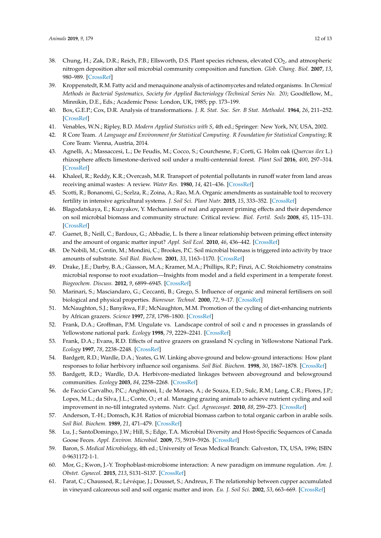- <span id="page-11-0"></span>38. Chung, H.; Zak, D.R.; Reich, P.B.; Ellsworth, D.S. Plant species richness, elevated CO<sub>2</sub>, and atmospheric nitrogen deposition alter soil microbial community composition and function. *Glob. Chang. Biol.* **2007**, *13*, 980–989. [\[CrossRef\]](http://dx.doi.org/10.1111/j.1365-2486.2007.01313.x)
- <span id="page-11-1"></span>39. Kroppenstedt, R.M. Fatty acid and menaquinone analysis of actinomycetes and related organisms. In *Chemical Methods in Bacterial Systematics, Society for Applied Bacteriology (Technical Series No. 20)*; Goodfellow, M., Minnikin, D.E., Eds.; Academic Press: London, UK, 1985; pp. 173–199.
- <span id="page-11-2"></span>40. Box, G.E.P.; Cox, D.R. Analysis of transformations. *J. R. Stat. Soc. Ser. B Stat. Methodol.* **1964**, *26*, 211–252. [\[CrossRef\]](http://dx.doi.org/10.1111/j.2517-6161.1964.tb00553.x)
- <span id="page-11-3"></span>41. Venables, W.N.; Ripley, B.D. *Modern Applied Statistics with S*, 4th ed.; Springer: New York, NY, USA, 2002.
- <span id="page-11-4"></span>42. R Core Team. *A Language and Environment for Statistical Computing. R Foundation for Statistical Computing*; R Core Team: Vienna, Austria, 2014.
- <span id="page-11-5"></span>43. Agnelli, A.; Massaccesi, L.; De Feudis, M.; Cocco, S.; Courchesne, F.; Corti, G. Holm oak (*Quercus ilex* L.) rhizosphere affects limestone-derived soil under a multi-centennial forest. *Plant Soil* **2016**, *400*, 297–314. [\[CrossRef\]](http://dx.doi.org/10.1007/s11104-015-2732-x)
- <span id="page-11-6"></span>44. Khaleel, R.; Reddy, K.R.; Overcash, M.R. Transport of potential pollutants in runoff water from land areas receiving animal wastes: A review. *Water Res.* **1980**, *14*, 421–436. [\[CrossRef\]](http://dx.doi.org/10.1016/0043-1354(80)90206-7)
- <span id="page-11-7"></span>45. Scotti, R.; Bonanomi, G.; Scelza, R.; Zoina, A.; Rao, M.A. Organic amendments as sustainable tool to recovery fertility in intensive agricultural systems. *J. Soil Sci. Plant Nutr.* **2015**, *15*, 333–352. [\[CrossRef\]](http://dx.doi.org/10.4067/S0718-95162015005000031)
- <span id="page-11-8"></span>46. Blagodatskaya, E.; Kuzyakov, Y. Mechanisms of real and apparent priming effects and their dependence on soil microbial biomass and community structure: Critical review. *Biol. Fertil. Soils* **2008**, *45*, 115–131. [\[CrossRef\]](http://dx.doi.org/10.1007/s00374-008-0334-y)
- <span id="page-11-9"></span>47. Guenet, B.; Neill, C.; Bardoux, G.; Abbadie, L. Is there a linear relationship between priming effect intensity and the amount of organic matter input? *Appl. Soil Ecol.* **2010**, *46*, 436–442. [\[CrossRef\]](http://dx.doi.org/10.1016/j.apsoil.2010.09.006)
- <span id="page-11-10"></span>48. De Nobili, M.; Contin, M.; Mondini, C.; Brookes, P.C. Soil microbial biomass is triggered into activity by trace amounts of substrate. *Soil Biol. Biochem.* **2001**, *33*, 1163–1170. [\[CrossRef\]](http://dx.doi.org/10.1016/S0038-0717(01)00020-7)
- <span id="page-11-11"></span>49. Drake, J.E.; Darby, B.A.; Giasson, M.A.; Kramer, M.A.; Phillips, R.P.; Finzi, A.C. Stoichiometry constrains microbial response to root exudation—Insights from model and a field experiment in a temperate forest. *Biogeochem. Discuss.* **2012**, *9*, 6899–6945. [\[CrossRef\]](http://dx.doi.org/10.5194/bgd-9-6899-2012)
- <span id="page-11-12"></span>50. Marinari, S.; Masciandaro, G.; Ceccanti, B.; Grego, S. Influence of organic and mineral fertilisers on soil biological and physical properties. *Bioresour. Technol.* **2000**, *72*, 9–17. [\[CrossRef\]](http://dx.doi.org/10.1016/S0960-8524(99)00094-2)
- <span id="page-11-13"></span>51. McNaughton, S.J.; Banyikwa, F.F.; McNaughton, M.M. Promotion of the cycling of diet-enhancing nutrients by African grazers. *Science* **1997**, *278*, 1798–1800. [\[CrossRef\]](http://dx.doi.org/10.1126/science.278.5344.1798)
- <span id="page-11-14"></span>52. Frank, D.A.; Groffman, P.M. Ungulate vs. Landscape control of soil c and n processes in grasslands of Yellowstone national park. *Ecology* **1998**, *79*, 2229–2241. [\[CrossRef\]](http://dx.doi.org/10.1890/0012-9658(1998)079[2229:UVLCOS]2.0.CO;2)
- 53. Frank, D.A.; Evans, R.D. Effects of native grazers on grassland N cycling in Yellowstone National Park. *Ecology* **1997**, *78*, 2238–2248. [\[CrossRef\]](http://dx.doi.org/10.1890/0012-9658(1997)078[2238:EONGOG]2.0.CO;2)
- <span id="page-11-15"></span>54. Bardgett, R.D.; Wardle, D.A.; Yeates, G.W. Linking above-ground and below-ground interactions: How plant responses to foliar herbivory influence soil organisms. *Soil Biol. Biochem.* **1998**, *30*, 1867–1878. [\[CrossRef\]](http://dx.doi.org/10.1016/S0038-0717(98)00069-8)
- <span id="page-11-16"></span>55. Bardgett, R.D.; Wardle, D.A. Herbivore-mediated linkages between aboveground and belowground communities. *Ecology* **2003**, *84*, 2258–2268. [\[CrossRef\]](http://dx.doi.org/10.1890/02-0274)
- <span id="page-11-17"></span>56. de Faccio Carvalho, P.C.; Anghinoni, I.; de Moraes, A.; de Souza, E.D.; Sulc, R.M.; Lang, C.R.; Flores, J.P.; Lopes, M.L.; da Silva, J.L.; Conte, O.; et al. Managing grazing animals to achieve nutrient cycling and soil improvement in no-till integrated systems. *Nutr. Cycl. Agroecosyst.* **2010**, *88*, 259–273. [\[CrossRef\]](http://dx.doi.org/10.1007/s10705-010-9360-x)
- <span id="page-11-18"></span>57. Anderson, T.-H.; Domsch, K.H. Ratios of microbial biomass carbon to total organic carbon in arable soils. *Soil Biol. Biochem.* **1989**, *21*, 471–479. [\[CrossRef\]](http://dx.doi.org/10.1016/0038-0717(89)90117-X)
- <span id="page-11-19"></span>58. Lu, J.; SantoDomingo, J.W.; Hill, S.; Edge, T.A. Microbial Diversity and Host-Specific Sequences of Canada Goose Feces. *Appl. Environ. Microbiol.* **2009**, *75*, 5919–5926. [\[CrossRef\]](http://dx.doi.org/10.1128/AEM.00462-09)
- <span id="page-11-20"></span>59. Baron, S. *Medical Microbiology*, 4th ed.; University of Texas Medical Branch: Galveston, TX, USA, 1996; ISBN 0-9631172-1-1.
- <span id="page-11-21"></span>60. Mor, G.; Kwon, J.-Y. Trophoblast-microbiome interaction: A new paradigm on immune regulation. *Am. J. Obstet. Gynecol.* **2015**, *213*, S131–S137. [\[CrossRef\]](http://dx.doi.org/10.1016/j.ajog.2015.06.039)
- <span id="page-11-22"></span>61. Parat, C.; Chaussod, R.; Lévéque, J.; Dousset, S.; Andreux, F. The relationship between cupper accumulated in vineyard calcareous soil and soil organic matter and iron. *Eu. J. Soil Sci.* **2002**, *53*, 663–669. [\[CrossRef\]](http://dx.doi.org/10.1046/j.1365-2389.2002.00478.x)